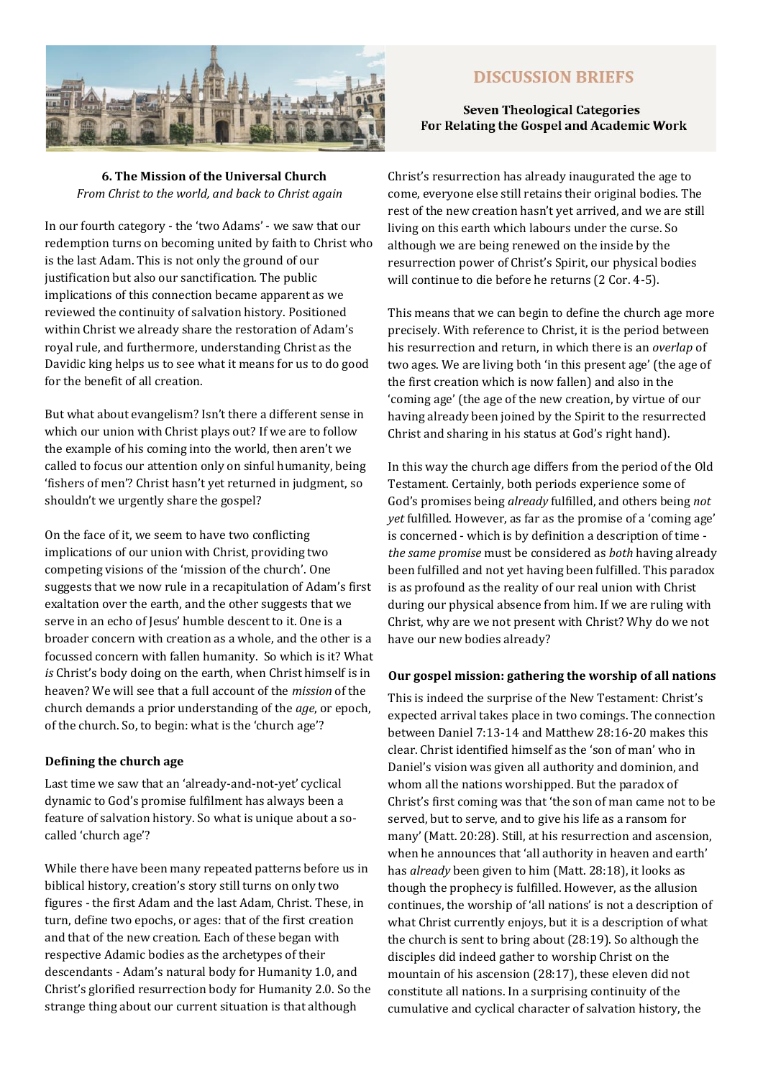

# **DISCUSSION BRIEFS**

## **Seven Theological Categories** For Relating the Gospel and Academic Work

**6. The Mission of the Universal Church** *From Christ to the world, and back to Christ again* 

In our fourth category - the 'two Adams' - we saw that our redemption turns on becoming united by faith to Christ who is the last Adam. This is not only the ground of our justification but also our sanctification. The public implications of this connection became apparent as we reviewed the continuity of salvation history. Positioned within Christ we already share the restoration of Adam's royal rule, and furthermore, understanding Christ as the Davidic king helps us to see what it means for us to do good for the benefit of all creation.

But what about evangelism? Isn't there a different sense in which our union with Christ plays out? If we are to follow the example of his coming into the world, then aren't we called to focus our attention only on sinful humanity, being 'fishers of men'? Christ hasn't yet returned in judgment, so shouldn't we urgently share the gospel?

On the face of it, we seem to have two conflicting implications of our union with Christ, providing two competing visions of the 'mission of the church'. One suggests that we now rule in a recapitulation of Adam's first exaltation over the earth, and the other suggests that we serve in an echo of Jesus' humble descent to it. One is a broader concern with creation as a whole, and the other is a focussed concern with fallen humanity. So which is it? What *is* Christ's body doing on the earth, when Christ himself is in heaven? We will see that a full account of the *mission* of the church demands a prior understanding of the *age*, or epoch, of the church. So, to begin: what is the 'church age'?

## **Defining the church age**

Last time we saw that an 'already-and-not-yet' cyclical dynamic to God's promise fulfilment has always been a feature of salvation history. So what is unique about a socalled 'church age'?

While there have been many repeated patterns before us in biblical history, creation's story still turns on only two figures - the first Adam and the last Adam, Christ. These, in turn, define two epochs, or ages: that of the first creation and that of the new creation. Each of these began with respective Adamic bodies as the archetypes of their descendants - Adam's natural body for Humanity 1.0, and Christ's glorified resurrection body for Humanity 2.0. So the strange thing about our current situation is that although

Christ's resurrection has already inaugurated the age to come, everyone else still retains their original bodies. The rest of the new creation hasn't yet arrived, and we are still living on this earth which labours under the curse. So although we are being renewed on the inside by the resurrection power of Christ's Spirit, our physical bodies will continue to die before he returns (2 Cor. 4-5).

This means that we can begin to define the church age more precisely. With reference to Christ, it is the period between his resurrection and return, in which there is an *overlap* of two ages. We are living both 'in this present age' (the age of the first creation which is now fallen) and also in the 'coming age' (the age of the new creation, by virtue of our having already been joined by the Spirit to the resurrected Christ and sharing in his status at God's right hand).

In this way the church age differs from the period of the Old Testament. Certainly, both periods experience some of God's promises being *already* fulfilled, and others being *not yet* fulfilled. However, as far as the promise of a 'coming age' is concerned - which is by definition a description of time *the same promise* must be considered as *both* having already been fulfilled and not yet having been fulfilled. This paradox is as profound as the reality of our real union with Christ during our physical absence from him. If we are ruling with Christ, why are we not present with Christ? Why do we not have our new bodies already?

#### **Our gospel mission: gathering the worship of all nations**

This is indeed the surprise of the New Testament: Christ's expected arrival takes place in two comings. The connection between Daniel 7:13-14 and Matthew 28:16-20 makes this clear. Christ identified himself as the 'son of man' who in Daniel's vision was given all authority and dominion, and whom all the nations worshipped. But the paradox of Christ's first coming was that 'the son of man came not to be served, but to serve, and to give his life as a ransom for many' (Matt. 20:28). Still, at his resurrection and ascension, when he announces that 'all authority in heaven and earth' has *already* been given to him (Matt. 28:18), it looks as though the prophecy is fulfilled. However, as the allusion continues, the worship of 'all nations' is not a description of what Christ currently enjoys, but it is a description of what the church is sent to bring about (28:19). So although the disciples did indeed gather to worship Christ on the mountain of his ascension (28:17), these eleven did not constitute all nations. In a surprising continuity of the cumulative and cyclical character of salvation history, the